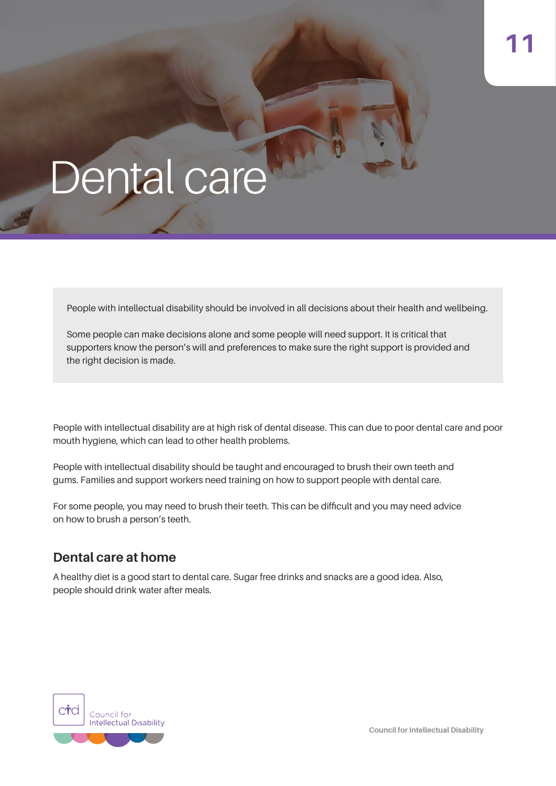# Dental care

People with intellectual disability should be involved in all decisions about their health and wellbeing.

Some people can make decisions alone and some people will need support. It is critical that supporters know the person's will and preferences to make sure the right support is provided and the right decision is made.

People with intellectual disability are at high risk of dental disease. This can due to poor dental care and poor mouth hygiene, which can lead to other health problems.

People with intellectual disability should be taught and encouraged to brush their own teeth and gums. Families and support workers need training on how to support people with dental care.

For some people, you may need to brush their teeth. This can be difficult and you may need advice on how to brush a person's teeth.

### **Dental care at home**

A healthy diet is a good start to dental care. Sugar free drinks and snacks are a good idea. Also, people should drink water after meals.

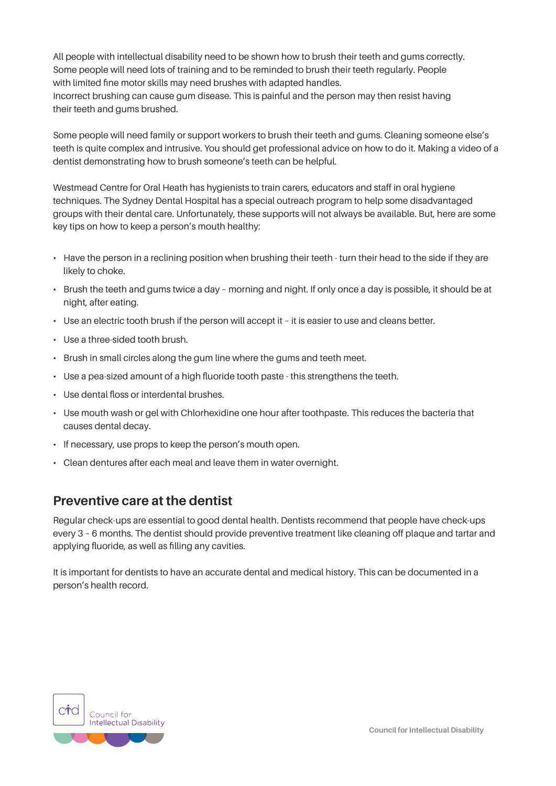All people with intellectual disability need to be shown how to brush their teeth and gums correctly. Some people will need lots of training and to be reminded to brush their teeth regularly. People with limited fine motor skills may need brushes with adapted handles. Incorrect brushing can cause gum disease. This is painful and the person may then resist having their teeth and gums brushed.

Some people will need family or support workers to brush their teeth and gums. Cleaning someone else's teeth is quite complex and intrusive. You should get professional advice on how to do it. Making a video of a dentist demonstrating how to brush someone's teeth can be helpful.

Westmead Centre for Oral Heath has hygienists to train carers, educators and staff in oral hygiene techniques. The Sydney Dental Hospital has a special outreach program to help some disadvantaged groups with their dental care. Unfortunately, these supports will not always be available. But, here are some key tips on how to keep a person's mouth healthy:

- Have the person in a reclining position when brushing their teeth turn their head to the side if they are likely to choke.
- Brush the teeth and gums twice a day morning and night. If only once a day is possible, it should be at night, after eating.
- Use an electric tooth brush if the person will accept it it is easier to use and cleans better.
- Use a three-sided tooth brush.
- Brush in small circles along the gum line where the gums and teeth meet.
- Use a pea-sized amount of a high fluoride tooth paste this strengthens the teeth.
- Use dental floss or interdental brushes.
- Use mouth wash or gel with Chlorhexidine one hour after toothpaste. This reduces the bacteria that causes dental decay.
- If necessary, use props to keep the person's mouth open.
- Clean dentures after each meal and leave them in water overnight.

### **Preventive care at the dentist**

Regular check-ups are essential to good dental health. Dentists recommend that people have check-ups every 3 – 6 months. The dentist should provide preventive treatment like cleaning off plaque and tartar and applying fluoride, as well as filling any cavities.

It is important for dentists to have an accurate dental and medical history. This can be documented in a person's health record.